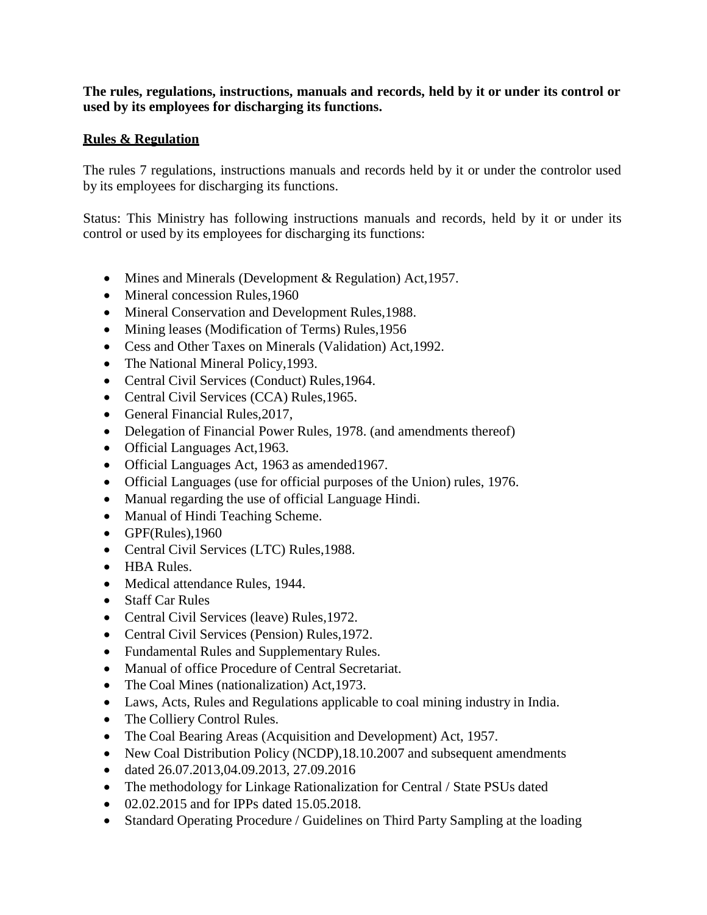**The rules, regulations, instructions, manuals and records, held by it or under its control or used by its employees for discharging its functions.**

## **Rules & Regulation**

The rules 7 regulations, instructions manuals and records held by it or under the controlor used by its employees for discharging its functions.

Status: This Ministry has following instructions manuals and records, held by it or under its control or used by its employees for discharging its functions:

- Mines and Minerals (Development & Regulation) Act, 1957.
- Mineral concession Rules, 1960
- Mineral Conservation and Development Rules, 1988.
- Mining leases (Modification of Terms) Rules, 1956
- Cess and Other Taxes on Minerals (Validation) Act,1992.
- The National Mineral Policy, 1993.
- Central Civil Services (Conduct) Rules, 1964.
- Central Civil Services (CCA) Rules, 1965.
- General Financial Rules, 2017,
- Delegation of Financial Power Rules, 1978. (and amendments thereof)
- Official Languages Act, 1963.
- Official Languages Act, 1963 as amended1967.
- Official Languages (use for official purposes of the Union) rules, 1976.
- Manual regarding the use of official Language Hindi.
- Manual of Hindi Teaching Scheme.
- $\bullet$  GPF(Rules), 1960
- Central Civil Services (LTC) Rules,1988.
- HBA Rules.
- Medical attendance Rules, 1944.
- Staff Car Rules
- Central Civil Services (leave) Rules, 1972.
- Central Civil Services (Pension) Rules, 1972.
- Fundamental Rules and Supplementary Rules.
- Manual of office Procedure of Central Secretariat.
- The Coal Mines (nationalization) Act, 1973.
- Laws, Acts, Rules and Regulations applicable to coal mining industry in India.
- The Colliery Control Rules.
- The Coal Bearing Areas (Acquisition and Development) Act, 1957.
- New Coal Distribution Policy (NCDP), 18.10.2007 and subsequent amendments
- $\bullet$  dated 26.07.2013,04.09.2013, 27.09.2016
- The methodology for Linkage Rationalization for Central / State PSUs dated
- $\bullet$  02.02.2015 and for IPPs dated 15.05.2018.
- Standard Operating Procedure / Guidelines on Third Party Sampling at the loading